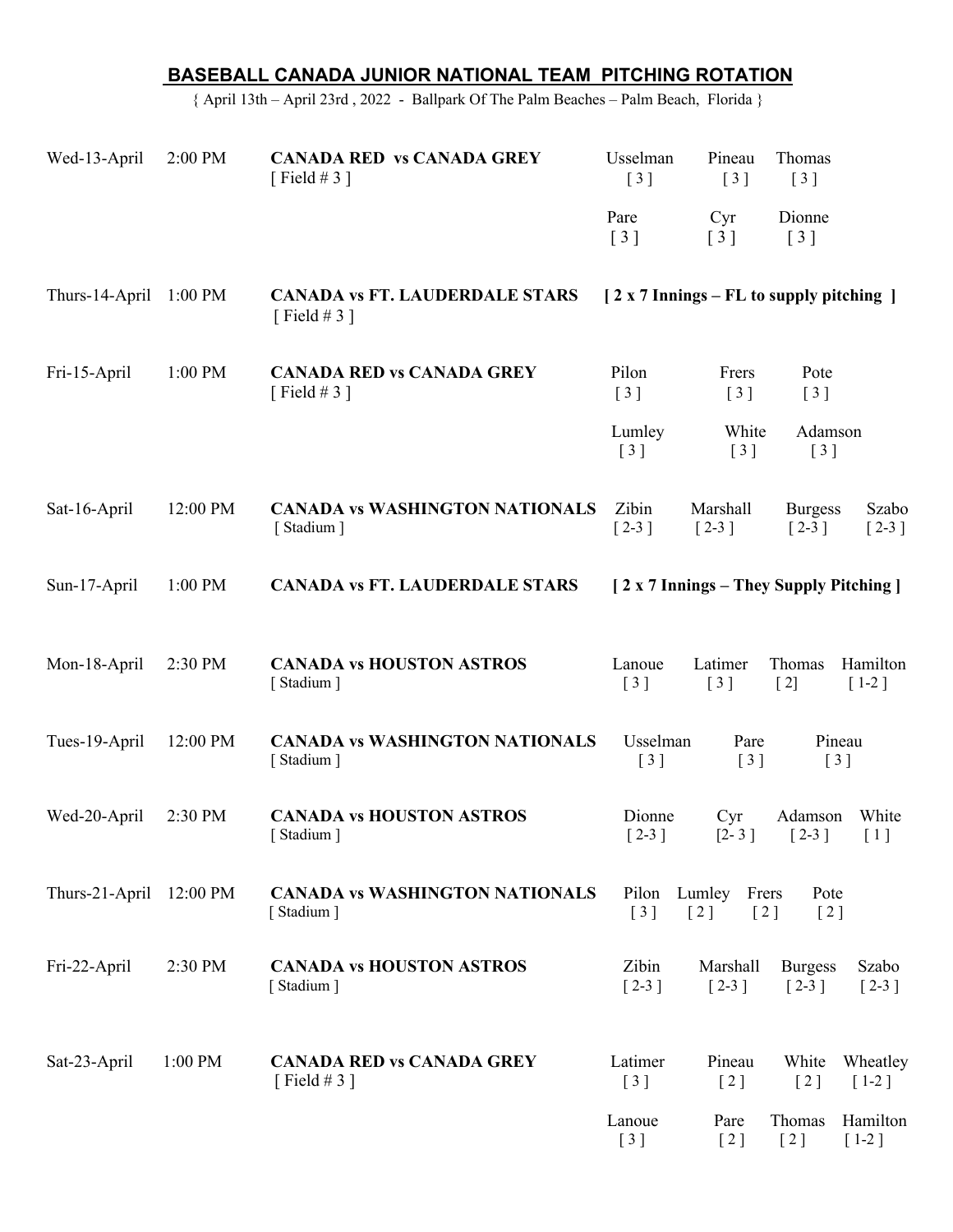|                                                                                        | BASEBALL CANADA JUNIOR NATIONAL TEAM PITCHING ROTATION |                                                       |                                                         |                                                     |                                                           |
|----------------------------------------------------------------------------------------|--------------------------------------------------------|-------------------------------------------------------|---------------------------------------------------------|-----------------------------------------------------|-----------------------------------------------------------|
| { April 13th - April 23rd, 2022 - Ballpark Of The Palm Beaches - Palm Beach, Florida } |                                                        |                                                       |                                                         |                                                     |                                                           |
| Wed-13-April                                                                           | 2:00 PM                                                | <b>CANADA RED vs CANADA GREY</b><br>[Field #3]        | Usselman<br>[3]                                         | Pineau<br>[3]                                       | Thomas<br>[3]                                             |
|                                                                                        |                                                        |                                                       | Pare<br>[3]                                             | Cyr<br>$\begin{bmatrix} 3 \end{bmatrix}$            | Dionne<br>[3]                                             |
| Thurs-14-April 1:00 PM                                                                 |                                                        | <b>CANADA vs FT. LAUDERDALE STARS</b><br>[Field # 3 ] |                                                         |                                                     | [2 x 7 Innings – FL to supply pitching ]                  |
| Fri-15-April                                                                           | 1:00 PM                                                | <b>CANADA RED vs CANADA GREY</b><br>[Field # 3 ]      | Pilon<br>[3]                                            | Frers<br>[3]                                        | Pote<br>[3]                                               |
|                                                                                        |                                                        |                                                       | Lumley<br>$\left[\begin{array}{c}3\end{array}\right]$   | White<br>[3]                                        | Adamson<br>[3]                                            |
| Sat-16-April                                                                           | 12:00 PM                                               | <b>CANADA vs WASHINGTON NATIONALS</b><br>[Stadium]    | Zibin<br>$[2-3]$                                        | Marshall<br>$\lceil 2-3 \rceil$                     | <b>Burgess</b><br>Szabo<br>$[2-3]$<br>$[2-3]$             |
| Sun-17-April                                                                           | 1:00 PM                                                | <b>CANADA vs FT. LAUDERDALE STARS</b>                 |                                                         |                                                     | [2 x 7 Innings – They Supply Pitching]                    |
| Mon-18-April                                                                           | 2:30 PM                                                | <b>CANADA vs HOUSTON ASTROS</b><br>[Stadium]          | Lanoue<br>[3]                                           | Latimer<br>[3]                                      | Hamilton<br>Thomas<br>$[2]$<br>$[1-2]$                    |
| Tues-19-April                                                                          | 12:00 PM                                               | <b>CANADA vs WASHINGTON NATIONALS</b><br>[Stadium]    | Usselman<br>$\left[\begin{array}{c}3\end{array}\right]$ | Pare<br>$\left[\begin{array}{c}3\end{array}\right]$ | Pineau<br>$\left[\begin{array}{c}3\end{array}\right]$     |
| Wed-20-April                                                                           | 2:30 PM                                                | <b>CANADA vs HOUSTON ASTROS</b><br>[Stadium]          | Dionne<br>$[2-3]$                                       | Cyr<br>$[2 - 3]$                                    | White<br>Adamson<br>$\lceil 2-3 \rceil$<br>[1]            |
| Thurs-21-April 12:00 PM                                                                |                                                        | <b>CANADA vs WASHINGTON NATIONALS</b><br>[Stadium]    | Pilon Lumley<br>$\left[3\right]$                        | Frers<br>[2]<br>[2]                                 | Pote<br>[2]                                               |
| Fri-22-April                                                                           | 2:30 PM                                                | <b>CANADA vs HOUSTON ASTROS</b><br>[Stadium]          | Zibin<br>$[2-3]$                                        | Marshall<br>$[2-3]$                                 | <b>Burgess</b><br>Szabo<br>$\lceil 2-3 \rceil$<br>$[2-3]$ |
| Sat-23-April                                                                           | 1:00 PM                                                | <b>CANADA RED vs CANADA GREY</b><br>[Field # 3 ]      | Latimer<br>[3]                                          | Pineau<br>[2]                                       | White<br>Wheatley<br>[2]<br>$[1-2]$                       |
|                                                                                        |                                                        |                                                       | Lanoue<br>$\left[3\right]$                              | Pare<br>[2]                                         | Thomas<br>Hamilton<br>[2]<br>$[1-2]$                      |